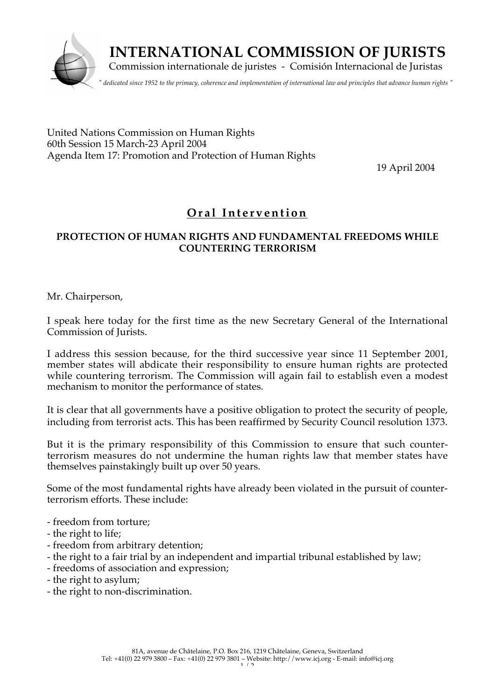

United Nations Commission on Human Rights 60th Session 15 March-23 April 2004 Agenda Item 17: Promotion and Protection of Human Rights

19 April 2004

## **Or a l Int e r v ention**

## **PROTECTION OF HUMAN RIGHTS AND FUNDAMENTAL FREEDOMS WHILE COUNTERING TERRORISM**

Mr. Chairperson,

I speak here today for the first time as the new Secretary General of the International Commission of Jurists.

I address this session because, for the third successive year since 11 September 2001, member states will abdicate their responsibility to ensure human rights are protected while countering terrorism. The Commission will again fail to establish even a modest mechanism to monitor the performance of states.

It is clear that all governments have a positive obligation to protect the security of people, including from terrorist acts. This has been reaffirmed by Security Council resolution 1373.

But it is the primary responsibility of this Commission to ensure that such counterterrorism measures do not undermine the human rights law that member states have themselves painstakingly built up over 50 years.

Some of the most fundamental rights have already been violated in the pursuit of counterterrorism efforts. These include:

- freedom from torture;
- the right to life;
- freedom from arbitrary detention;
- the right to a fair trial by an independent and impartial tribunal established by law;
- freedoms of association and expression;
- the right to asylum;
- the right to non-discrimination.